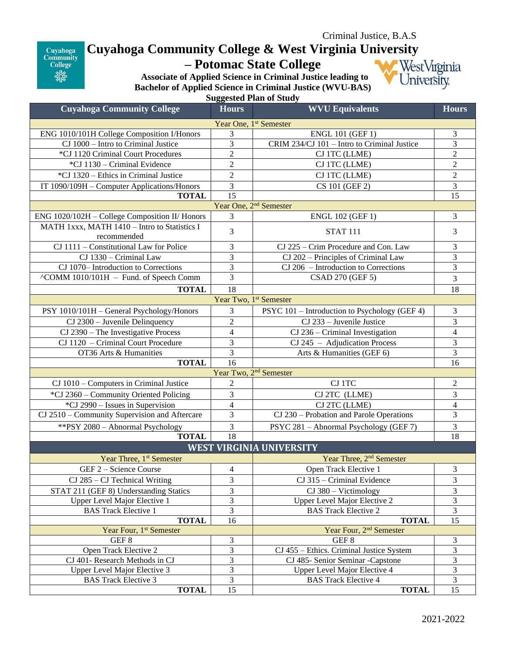

## **Cuyahoga Community College & West Virginia University**

**– Potomac State College** 

WestVirginia University.

**Associate of Applied Science in Criminal Justice leading to Bachelor of Applied Science in Criminal Justice (WVU-BAS)**

**Suggested Plan of Study**

| <b>Cuyahoga Community College</b>              | <b>Hours</b>            | <b>WVU Equivalents</b>                        | <b>Hours</b>            |
|------------------------------------------------|-------------------------|-----------------------------------------------|-------------------------|
| Year One, 1 <sup>st</sup> Semester             |                         |                                               |                         |
| ENG 1010/101H College Composition I/Honors     | 3                       | <b>ENGL 101 (GEF 1)</b>                       | 3                       |
| CJ 1000 - Intro to Criminal Justice            | 3                       | CRIM 234/CJ 101 - Intro to Criminal Justice   | 3                       |
| *CJ 1120 Criminal Court Procedures             | $\overline{2}$          | CJ 1TC (LLME)                                 | $\sqrt{2}$              |
| *CJ 1130 - Criminal Evidence                   | $\boldsymbol{2}$        | CJ 1TC (LLME)                                 | $\sqrt{2}$              |
| *CJ 1320 – Ethics in Criminal Justice          | $\overline{2}$          | CJ 1TC (LLME)                                 | $\sqrt{2}$              |
| IT 1090/109H - Computer Applications/Honors    | 3                       | CS 101 (GEF 2)                                | 3                       |
| <b>TOTAL</b>                                   | 15                      |                                               | 15                      |
| Year One, 2 <sup>nd</sup> Semester             |                         |                                               |                         |
| ENG 1020/102H - College Composition II/ Honors | 3                       | <b>ENGL 102 (GEF 1)</b>                       | 3                       |
| MATH 1xxx, MATH 1410 - Intro to Statistics I   |                         |                                               |                         |
| recommended                                    | 3                       | <b>STAT 111</b>                               | 3                       |
| CJ 1111 - Constitutional Law for Police        | 3                       | CJ 225 - Crim Procedure and Con. Law          | 3                       |
| CJ 1330 - Criminal Law                         | $\overline{\mathbf{3}}$ | CJ 202 – Principles of Criminal Law           | $\overline{\mathbf{3}}$ |
| CJ 1070- Introduction to Corrections           | $\overline{\mathbf{3}}$ | CJ 206 - Introduction to Corrections          | $\overline{3}$          |
| ^COMM 1010/101H - Fund. of Speech Comm         | $\overline{3}$          | $\overline{\text{CS}}$ AD 270 (GEF 5)         | 3                       |
| <b>TOTAL</b>                                   | 18                      |                                               | 18                      |
| Year Two, 1 <sup>st</sup> Semester             |                         |                                               |                         |
| PSY 1010/101H - General Psychology/Honors      | 3                       | PSYC 101 - Introduction to Psychology (GEF 4) | 3                       |
| $CJ$ 2300 – Juvenile Delinquency               | $\sqrt{2}$              | CJ 233 - Juvenile Justice                     | $\mathfrak{Z}$          |
| CJ 2390 - The Investigative Process            | $\overline{4}$          | $CJ$ 236 – Criminal Investigation             | $\overline{4}$          |
| CJ 1120 - Criminal Court Procedure             | 3                       | $CJ 245 - Adjudication Process$               | $\overline{3}$          |
| OT36 Arts & Humanities                         | $\overline{3}$          | Arts & Humanities (GEF 6)                     | $\overline{3}$          |
| <b>TOTAL</b>                                   | $\overline{16}$         |                                               | 16                      |
| Year Two, 2 <sup>nd</sup> Semester             |                         |                                               |                         |
| CJ 1010 – Computers in Criminal Justice        | $\mathfrak{2}$          | CJ 1TC                                        | $\boldsymbol{2}$        |
| *CJ 2360 - Community Oriented Policing         | 3                       | CJ 2TC (LLME)                                 | 3                       |
| *CJ 2990 - Issues in Supervision               | $\overline{4}$          | CJ 2TC (LLME)                                 | $\overline{4}$          |
| CJ 2510 - Community Supervision and Aftercare  | 3                       | CJ 230 – Probation and Parole Operations      | 3                       |
| ** PSY 2080 - Abnormal Psychology              | 3                       | PSYC 281 - Abnormal Psychology (GEF 7)        | $\mathfrak{Z}$          |
| <b>TOTAL</b>                                   | 18                      |                                               | 18                      |
| <b>WEST VIRGINIA UNIVERSITY</b>                |                         |                                               |                         |
| Year Three, 1 <sup>st</sup> Semester           |                         | Year Three, 2 <sup>nd</sup> Semester          |                         |
| GEF 2 - Science Course                         | 4                       | Open Track Elective 1                         | 3                       |
| $CJ$ 285 – $CJ$ Technical Writing              | 3                       | CJ 315 - Criminal Evidence                    | 3                       |
| STAT 211 (GEF 8) Understanding Statics         | 3                       | $CJ$ 380 – Victimology                        | 3                       |
| Upper Level Major Elective 1                   | 3                       | <b>Upper Level Major Elective 2</b>           | 3                       |
| <b>BAS Track Elective 1</b>                    | 3                       | <b>BAS Track Elective 2</b>                   | 3                       |
| <b>TOTAL</b>                                   | 16                      | <b>TOTAL</b>                                  | 15                      |
| Year Four, 1 <sup>st</sup> Semester            |                         | Year Four, 2 <sup>nd</sup> Semester           |                         |
| GEF <sub>8</sub>                               | 3                       | GEF <sub>8</sub>                              | 3                       |
| Open Track Elective 2                          | 3                       | CJ 455 - Ethics. Criminal Justice System      | 3                       |
| CJ 401- Research Methods in CJ                 | 3                       | CJ 485- Senior Seminar - Capstone             | 3                       |
| Upper Level Major Elective 3                   | 3                       | <b>Upper Level Major Elective 4</b>           | 3                       |
| <b>BAS Track Elective 3</b>                    | 3                       | <b>BAS Track Elective 4</b>                   | 3                       |
| <b>TOTAL</b>                                   | 15                      | <b>TOTAL</b>                                  | 15                      |